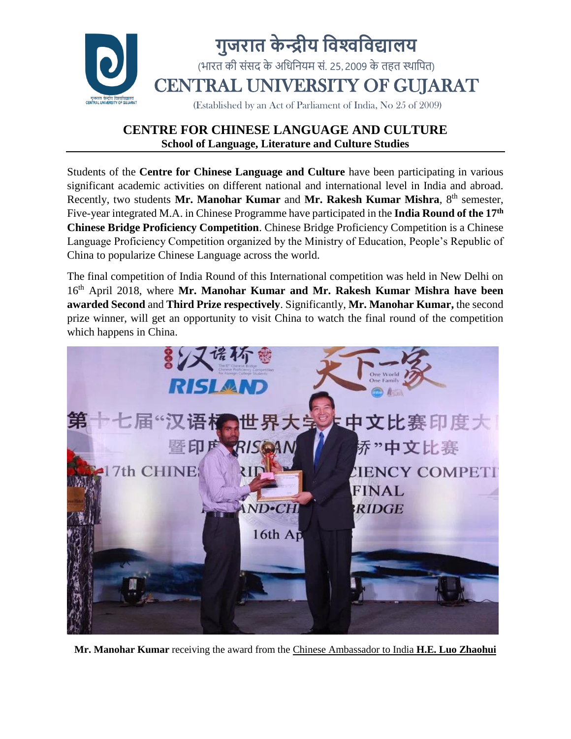

Students of the **Centre for Chinese Language and Culture** have been participating in various significant academic activities on different national and international level in India and abroad. Recently, two students Mr. Manohar Kumar and Mr. Rakesh Kumar Mishra, 8<sup>th</sup> semester, Five-year integrated M.A. in Chinese Programme have participated in the **India Round of the 17th Chinese Bridge Proficiency Competition**. Chinese Bridge Proficiency Competition is a Chinese Language Proficiency Competition organized by the Ministry of Education, People's Republic of China to popularize Chinese Language across the world.

The final competition of India Round of this International competition was held in New Delhi on 16th April 2018, where **Mr. Manohar Kumar and Mr. Rakesh Kumar Mishra have been awarded Second** and **Third Prize respectively**. Significantly, **Mr. Manohar Kumar,** the second prize winner, will get an opportunity to visit China to watch the final round of the competition which happens in China.



**Mr. Manohar Kumar** receiving the award from the Chinese Ambassador to India **H.E. Luo Zhaohui**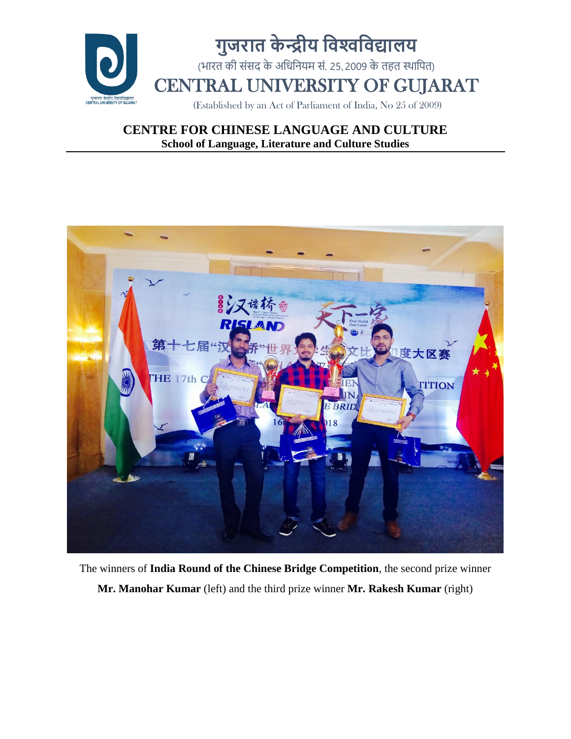



The winners of **India Round of the Chinese Bridge Competition**, the second prize winner **Mr. Manohar Kumar** (left) and the third prize winner **Mr. Rakesh Kumar** (right)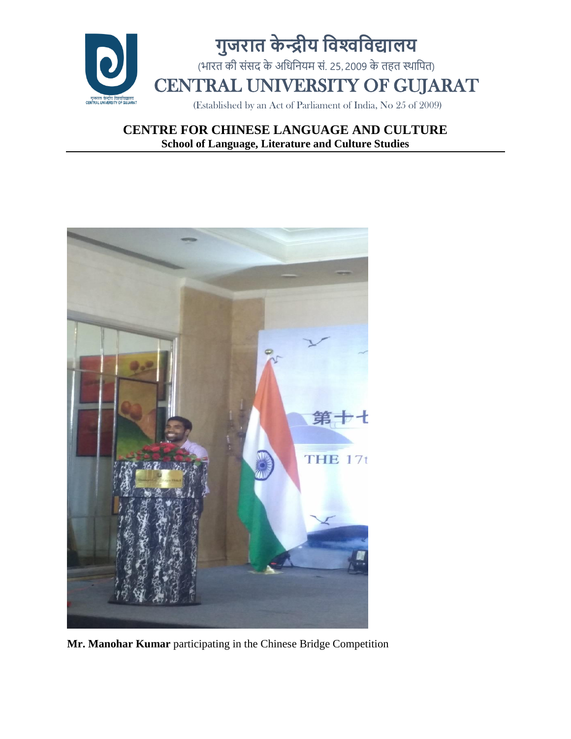



**Mr. Manohar Kumar** participating in the Chinese Bridge Competition